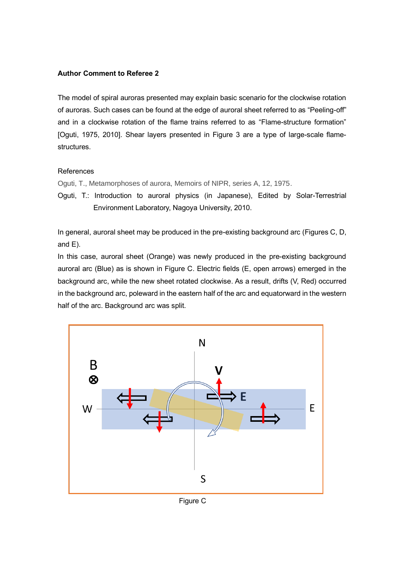## **Author Comment to Referee 2**

The model of spiral auroras presented may explain basic scenario for the clockwise rotation of auroras. Such cases can be found at the edge of auroral sheet referred to as "Peeling-off" and in a clockwise rotation of the flame trains referred to as "Flame-structure formation" [Oguti, 1975, 2010]. Shear layers presented in Figure 3 are a type of large-scale flamestructures.

## **References**

Oguti, T., Metamorphoses of aurora, Memoirs of NIPR, series A, 12, 1975.

Oguti, T.: Introduction to auroral physics (in Japanese), Edited by Solar-Terrestrial Environment Laboratory, Nagoya University, 2010.

In general, auroral sheet may be produced in the pre-existing background arc (Figures C, D, and E).

In this case, auroral sheet (Orange) was newly produced in the pre-existing background auroral arc (Blue) as is shown in Figure C. Electric fields (E, open arrows) emerged in the background arc, while the new sheet rotated clockwise. As a result, drifts (V, Red) occurred in the background arc, poleward in the eastern half of the arc and equatorward in the western half of the arc. Background arc was split.



Figure C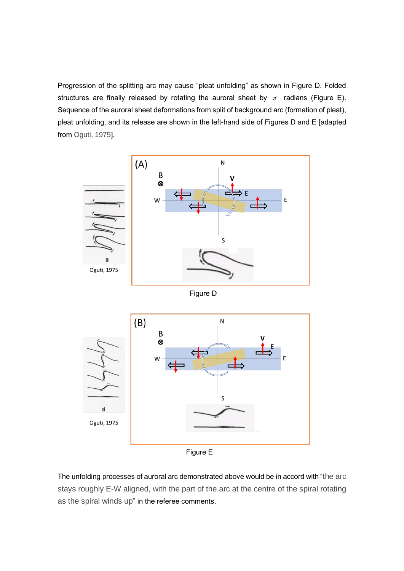Progression of the splitting arc may cause "pleat unfolding" as shown in Figure D. Folded structures are finally released by rotating the auroral sheet by  $\pi$  radians (Figure E). Sequence of the auroral sheet deformations from split of background arc (formation of pleat), pleat unfolding, and its release are shown in the left-hand side of Figures D and E [adapted from Oguti, 1975].



The unfolding processes of auroral arc demonstrated above would be in accord with "the arc stays roughly E-W aligned, with the part of the arc at the centre of the spiral rotating as the spiral winds up" in the referee comments.